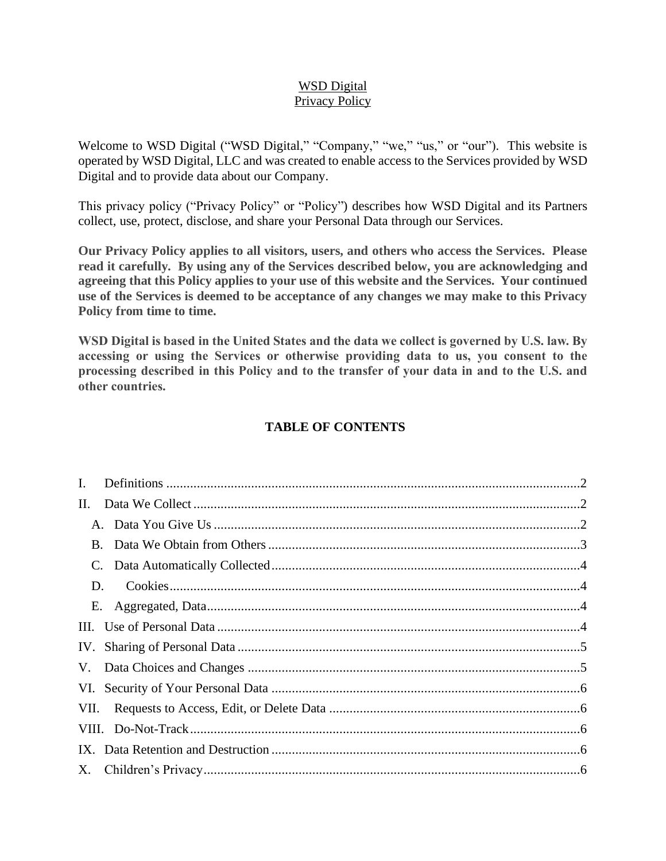## WSD Digital Privacy Policy

Welcome to WSD Digital ("WSD Digital," "Company," "we," "us," or "our"). This website is operated by WSD Digital, LLC and was created to enable access to the Services provided by WSD Digital and to provide data about our Company.

This privacy policy ("Privacy Policy" or "Policy") describes how WSD Digital and its Partners collect, use, protect, disclose, and share your Personal Data through our Services.

**Our Privacy Policy applies to all visitors, users, and others who access the Services. Please read it carefully. By using any of the Services described below, you are acknowledging and agreeing that this Policy applies to your use of this website and the Services. Your continued use of the Services is deemed to be acceptance of any changes we may make to this Privacy Policy from time to time.** 

**WSD Digital is based in the United States and the data we collect is governed by U.S. law. By accessing or using the Services or otherwise providing data to us, you consent to the processing described in this Policy and to the transfer of your data in and to the U.S. and other countries.**

## **TABLE OF CONTENTS**

| $\mathbf{I}$ . |  |
|----------------|--|
| II.            |  |
|                |  |
| $B_{\cdot}$    |  |
| C.             |  |
| D.             |  |
|                |  |
|                |  |
|                |  |
|                |  |
|                |  |
|                |  |
|                |  |
|                |  |
|                |  |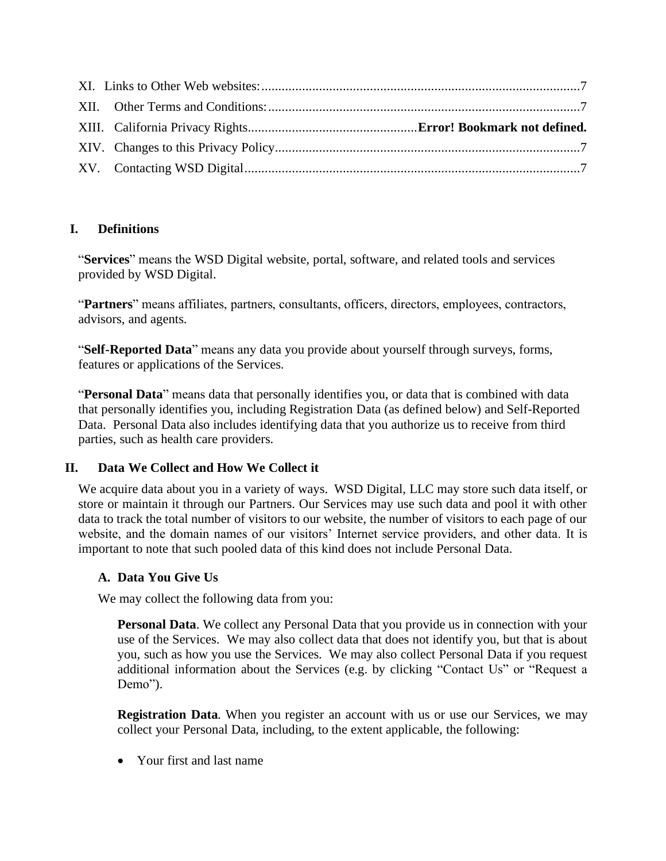## <span id="page-1-0"></span>**I. Definitions**

"**Services**" means the WSD Digital website, portal, software, and related tools and services provided by WSD Digital.

"**Partners**" means affiliates, partners, consultants, officers, directors, employees, contractors, advisors, and agents.

"**Self-Reported Data**" means any data you provide about yourself through surveys, forms, features or applications of the Services.

"**Personal Data**" means data that personally identifies you, or data that is combined with data that personally identifies you, including Registration Data (as defined below) and Self-Reported Data. Personal Data also includes identifying data that you authorize us to receive from third parties, such as health care providers.

# <span id="page-1-1"></span>**II. Data We Collect and How We Collect it**

We acquire data about you in a variety of ways. WSD Digital, LLC may store such data itself, or store or maintain it through our Partners. Our Services may use such data and pool it with other data to track the total number of visitors to our website, the number of visitors to each page of our website, and the domain names of our visitors' Internet service providers, and other data. It is important to note that such pooled data of this kind does not include Personal Data.

# <span id="page-1-2"></span>**A. Data You Give Us**

We may collect the following data from you:

**Personal Data**. We collect any Personal Data that you provide us in connection with your use of the Services. We may also collect data that does not identify you, but that is about you, such as how you use the Services. We may also collect Personal Data if you request additional information about the Services (e.g. by clicking "Contact Us" or "Request a Demo").

**Registration Data**. When you register an account with us or use our Services, we may collect your Personal Data, including, to the extent applicable, the following:

• Your first and last name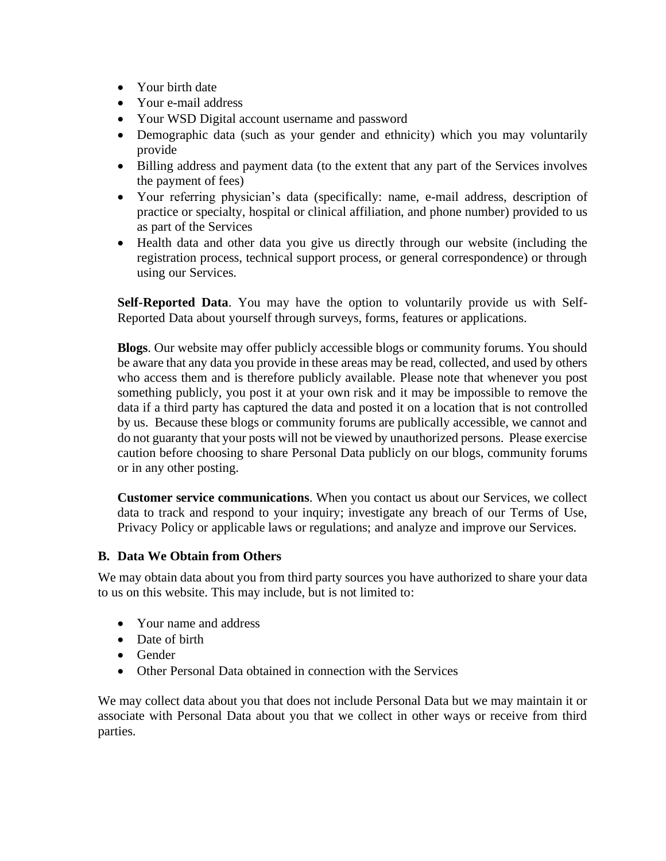- Your birth date
- Your e-mail address
- Your WSD Digital account username and password
- Demographic data (such as your gender and ethnicity) which you may voluntarily provide
- Billing address and payment data (to the extent that any part of the Services involves the payment of fees)
- Your referring physician's data (specifically: name, e-mail address, description of practice or specialty, hospital or clinical affiliation, and phone number) provided to us as part of the Services
- Health data and other data you give us directly through our website (including the registration process, technical support process, or general correspondence) or through using our Services.

**Self-Reported Data**. You may have the option to voluntarily provide us with Self-Reported Data about yourself through surveys, forms, features or applications.

**Blogs**. Our website may offer publicly accessible blogs or community forums. You should be aware that any data you provide in these areas may be read, collected, and used by others who access them and is therefore publicly available. Please note that whenever you post something publicly, you post it at your own risk and it may be impossible to remove the data if a third party has captured the data and posted it on a location that is not controlled by us. Because these blogs or community forums are publically accessible, we cannot and do not guaranty that your posts will not be viewed by unauthorized persons. Please exercise caution before choosing to share Personal Data publicly on our blogs, community forums or in any other posting.

**Customer service communications**. When you contact us about our Services, we collect data to track and respond to your inquiry; investigate any breach of our Terms of Use, Privacy Policy or applicable laws or regulations; and analyze and improve our Services.

## <span id="page-2-0"></span>**B. Data We Obtain from Others**

We may obtain data about you from third party sources you have authorized to share your data to us on this website. This may include, but is not limited to:

- Your name and address
- Date of birth
- Gender
- Other Personal Data obtained in connection with the Services

We may collect data about you that does not include Personal Data but we may maintain it or associate with Personal Data about you that we collect in other ways or receive from third parties.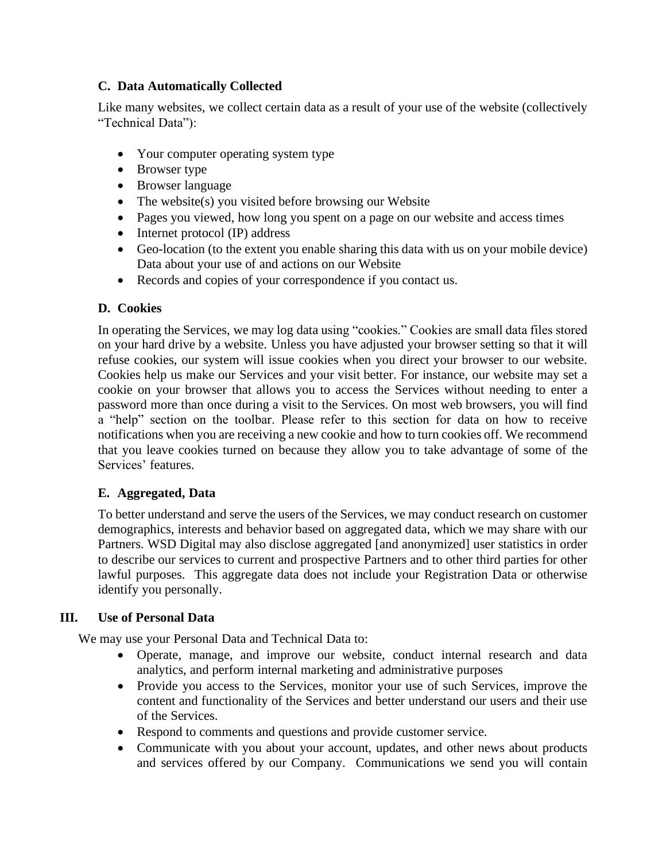## <span id="page-3-0"></span>**C. Data Automatically Collected**

Like many websites, we collect certain data as a result of your use of the website (collectively "Technical Data"):

- Your computer operating system type
- Browser type
- Browser language
- The website(s) you visited before browsing our Website
- Pages you viewed, how long you spent on a page on our website and access times
- Internet protocol (IP) address
- Geo-location (to the extent you enable sharing this data with us on your mobile device) Data about your use of and actions on our Website
- Records and copies of your correspondence if you contact us.

## <span id="page-3-1"></span>**D. Cookies**

In operating the Services, we may log data using "cookies." Cookies are small data files stored on your hard drive by a website. Unless you have adjusted your browser setting so that it will refuse cookies, our system will issue cookies when you direct your browser to our website. Cookies help us make our Services and your visit better. For instance, our website may set a cookie on your browser that allows you to access the Services without needing to enter a password more than once during a visit to the Services. On most web browsers, you will find a "help" section on the toolbar. Please refer to this section for data on how to receive notifications when you are receiving a new cookie and how to turn cookies off. We recommend that you leave cookies turned on because they allow you to take advantage of some of the Services' features.

## <span id="page-3-2"></span>**E. Aggregated, Data**

To better understand and serve the users of the Services, we may conduct research on customer demographics, interests and behavior based on aggregated data, which we may share with our Partners. WSD Digital may also disclose aggregated [and anonymized] user statistics in order to describe our services to current and prospective Partners and to other third parties for other lawful purposes. This aggregate data does not include your Registration Data or otherwise identify you personally.

## <span id="page-3-3"></span>**III. Use of Personal Data**

We may use your Personal Data and Technical Data to:

- Operate, manage, and improve our website, conduct internal research and data analytics, and perform internal marketing and administrative purposes
- Provide you access to the Services, monitor your use of such Services, improve the content and functionality of the Services and better understand our users and their use of the Services.
- Respond to comments and questions and provide customer service.
- Communicate with you about your account, updates, and other news about products and services offered by our Company. Communications we send you will contain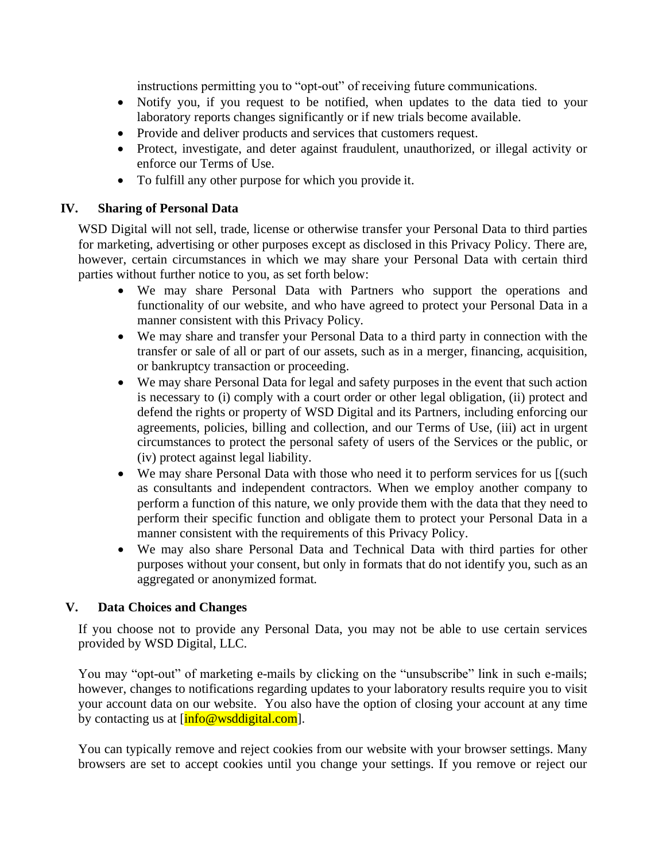instructions permitting you to "opt-out" of receiving future communications.

- Notify you, if you request to be notified, when updates to the data tied to your laboratory reports changes significantly or if new trials become available.
- Provide and deliver products and services that customers request.
- Protect, investigate, and deter against fraudulent, unauthorized, or illegal activity or enforce our Terms of Use.
- To fulfill any other purpose for which you provide it.

### <span id="page-4-0"></span>**IV. Sharing of Personal Data**

WSD Digital will not sell, trade, license or otherwise transfer your Personal Data to third parties for marketing, advertising or other purposes except as disclosed in this Privacy Policy. There are, however, certain circumstances in which we may share your Personal Data with certain third parties without further notice to you, as set forth below:

- We may share Personal Data with Partners who support the operations and functionality of our website, and who have agreed to protect your Personal Data in a manner consistent with this Privacy Policy.
- We may share and transfer your Personal Data to a third party in connection with the transfer or sale of all or part of our assets, such as in a merger, financing, acquisition, or bankruptcy transaction or proceeding.
- We may share Personal Data for legal and safety purposes in the event that such action is necessary to (i) comply with a court order or other legal obligation, (ii) protect and defend the rights or property of WSD Digital and its Partners, including enforcing our agreements, policies, billing and collection, and our Terms of Use, (iii) act in urgent circumstances to protect the personal safety of users of the Services or the public, or (iv) protect against legal liability.
- We may share Personal Data with those who need it to perform services for us [(such as consultants and independent contractors. When we employ another company to perform a function of this nature, we only provide them with the data that they need to perform their specific function and obligate them to protect your Personal Data in a manner consistent with the requirements of this Privacy Policy.
- We may also share Personal Data and Technical Data with third parties for other purposes without your consent, but only in formats that do not identify you, such as an aggregated or anonymized format.

#### <span id="page-4-1"></span>**V. Data Choices and Changes**

If you choose not to provide any Personal Data, you may not be able to use certain services provided by WSD Digital, LLC.

You may "opt-out" of marketing e-mails by clicking on the "unsubscribe" link in such e-mails; however, changes to notifications regarding updates to your laboratory results require you to visit your account data on our website. You also have the option of closing your account at any time by contacting us at  $[\inf \overline{\omega} \text{waddigital.com}]$ .

You can typically remove and reject cookies from our website with your browser settings. Many browsers are set to accept cookies until you change your settings. If you remove or reject our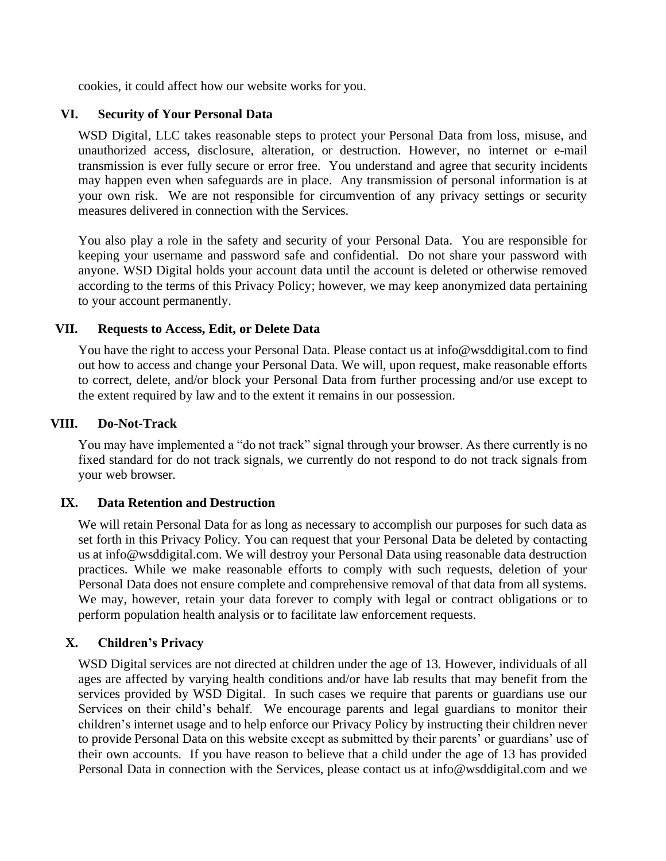<span id="page-5-0"></span>cookies, it could affect how our website works for you.

#### **VI. Security of Your Personal Data**

WSD Digital, LLC takes reasonable steps to protect your Personal Data from loss, misuse, and unauthorized access, disclosure, alteration, or destruction. However, no internet or e-mail transmission is ever fully secure or error free. You understand and agree that security incidents may happen even when safeguards are in place. Any transmission of personal information is at your own risk. We are not responsible for circumvention of any privacy settings or security measures delivered in connection with the Services.

You also play a role in the safety and security of your Personal Data. You are responsible for keeping your username and password safe and confidential. Do not share your password with anyone. WSD Digital holds your account data until the account is deleted or otherwise removed according to the terms of this Privacy Policy; however, we may keep anonymized data pertaining to your account permanently.

### <span id="page-5-1"></span>**VII. Requests to Access, Edit, or Delete Data**

You have the right to access your Personal Data. Please contact us at info@wsddigital.com to find out how to access and change your Personal Data. We will, upon request, make reasonable efforts to correct, delete, and/or block your Personal Data from further processing and/or use except to the extent required by law and to the extent it remains in our possession.

#### <span id="page-5-2"></span>**VIII. Do-Not-Track**

You may have implemented a "do not track" signal through your browser. As there currently is no fixed standard for do not track signals, we currently do not respond to do not track signals from your web browser.

#### <span id="page-5-3"></span>**IX. Data Retention and Destruction**

We will retain Personal Data for as long as necessary to accomplish our purposes for such data as set forth in this Privacy Policy. You can request that your Personal Data be deleted by contacting us at info@wsddigital.com. We will destroy your Personal Data using reasonable data destruction practices. While we make reasonable efforts to comply with such requests, deletion of your Personal Data does not ensure complete and comprehensive removal of that data from all systems. We may, however, retain your data forever to comply with legal or contract obligations or to perform population health analysis or to facilitate law enforcement requests.

#### <span id="page-5-4"></span>**X. Children's Privacy**

WSD Digital services are not directed at children under the age of 13. However, individuals of all ages are affected by varying health conditions and/or have lab results that may benefit from the services provided by WSD Digital. In such cases we require that parents or guardians use our Services on their child's behalf. We encourage parents and legal guardians to monitor their children's internet usage and to help enforce our Privacy Policy by instructing their children never to provide Personal Data on this website except as submitted by their parents' or guardians' use of their own accounts. If you have reason to believe that a child under the age of 13 has provided Personal Data in connection with the Services, please contact us at info@wsddigital.com and we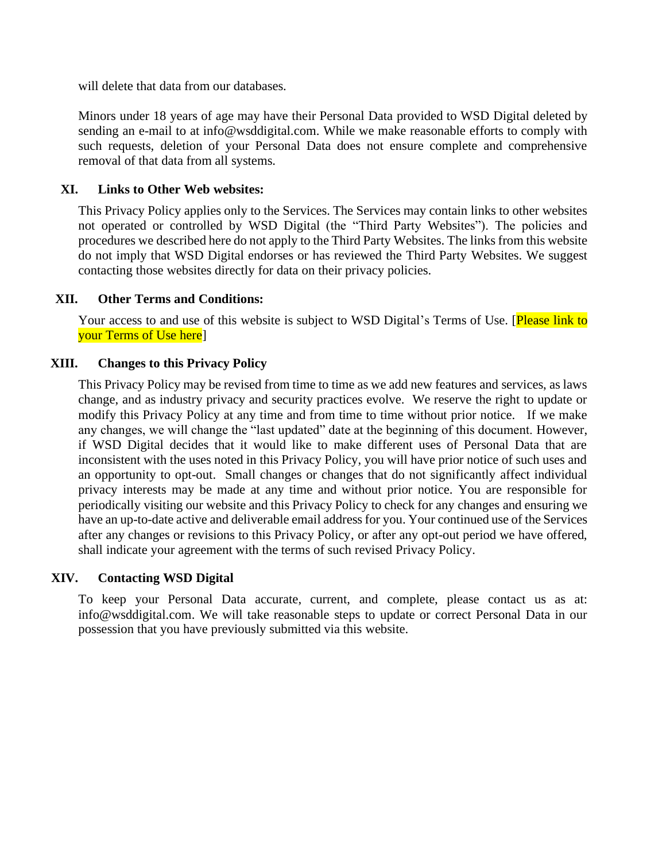will delete that data from our databases.

Minors under 18 years of age may have their Personal Data provided to WSD Digital deleted by sending an e-mail to at info@wsddigital.com. While we make reasonable efforts to comply with such requests, deletion of your Personal Data does not ensure complete and comprehensive removal of that data from all systems.

### <span id="page-6-0"></span>**XI. Links to Other Web websites:**

This Privacy Policy applies only to the Services. The Services may contain links to other websites not operated or controlled by WSD Digital (the "Third Party Websites"). The policies and procedures we described here do not apply to the Third Party Websites. The links from this website do not imply that WSD Digital endorses or has reviewed the Third Party Websites. We suggest contacting those websites directly for data on their privacy policies.

### <span id="page-6-1"></span>**XII. Other Terms and Conditions:**

<span id="page-6-2"></span>Your access to and use of this website is subject to WSD Digital's [Terms of Use.](http://www.luminatehealth.com/terms-of-use) [Please link to your Terms of Use here]

### **XIII. Changes to this Privacy Policy**

This Privacy Policy may be revised from time to time as we add new features and services, as laws change, and as industry privacy and security practices evolve. We reserve the right to update or modify this Privacy Policy at any time and from time to time without prior notice. If we make any changes, we will change the "last updated" date at the beginning of this document. However, if WSD Digital decides that it would like to make different uses of Personal Data that are inconsistent with the uses noted in this Privacy Policy, you will have prior notice of such uses and an opportunity to opt-out. Small changes or changes that do not significantly affect individual privacy interests may be made at any time and without prior notice. You are responsible for periodically visiting our website and this Privacy Policy to check for any changes and ensuring we have an up-to-date active and deliverable email address for you. Your continued use of the Services after any changes or revisions to this Privacy Policy, or after any opt-out period we have offered, shall indicate your agreement with the terms of such revised Privacy Policy.

#### <span id="page-6-3"></span>**XIV. Contacting WSD Digital**

To keep your Personal Data accurate, current, and complete, please contact us as at: info@wsddigital.com. We will take reasonable steps to update or correct Personal Data in our possession that you have previously submitted via this website.